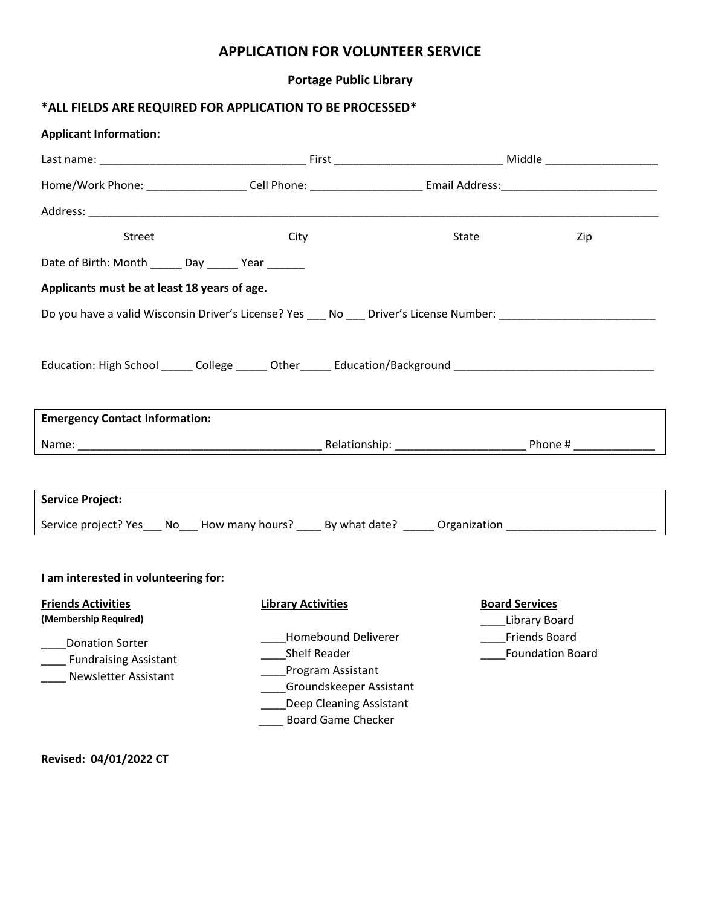# **APPLICATION FOR VOLUNTEER SERVICE**

### **Portage Public Library**

## **\*ALL FIELDS ARE REQUIRED FOR APPLICATION TO BE PROCESSED\***

| <b>Applicant Information:</b>                                                                                  |                           |                                                                                                                                                    |                                          |
|----------------------------------------------------------------------------------------------------------------|---------------------------|----------------------------------------------------------------------------------------------------------------------------------------------------|------------------------------------------|
|                                                                                                                |                           |                                                                                                                                                    |                                          |
|                                                                                                                |                           |                                                                                                                                                    |                                          |
|                                                                                                                |                           |                                                                                                                                                    |                                          |
| <b>Street</b>                                                                                                  | City                      | State                                                                                                                                              | Zip                                      |
| Date of Birth: Month ______ Day ______ Year ______                                                             |                           |                                                                                                                                                    |                                          |
| Applicants must be at least 18 years of age.                                                                   |                           |                                                                                                                                                    |                                          |
| Do you have a valid Wisconsin Driver's License? Yes ___ No ___ Driver's License Number: ______________________ |                           |                                                                                                                                                    |                                          |
|                                                                                                                |                           |                                                                                                                                                    |                                          |
| Education: High School ______ College ______ Other ______ Education/Background _______________________________ |                           |                                                                                                                                                    |                                          |
|                                                                                                                |                           |                                                                                                                                                    |                                          |
| <b>Emergency Contact Information:</b>                                                                          |                           |                                                                                                                                                    |                                          |
|                                                                                                                |                           |                                                                                                                                                    |                                          |
|                                                                                                                |                           |                                                                                                                                                    |                                          |
| <b>Service Project:</b>                                                                                        |                           |                                                                                                                                                    |                                          |
| Service project? Yes___ No___ How many hours? ____ By what date? _____ Organization _________________________  |                           |                                                                                                                                                    |                                          |
|                                                                                                                |                           |                                                                                                                                                    |                                          |
|                                                                                                                |                           |                                                                                                                                                    |                                          |
| I am interested in volunteering for:                                                                           |                           |                                                                                                                                                    |                                          |
| <b>Friends Activities</b><br>(Membership Required)                                                             | <b>Library Activities</b> |                                                                                                                                                    | <b>Board Services</b><br>Library Board   |
| <b>Donation Sorter</b><br><b>Fundraising Assistant</b><br>Newsletter Assistant                                 |                           | Homebound Deliverer<br><b>Shelf Reader</b><br>Program Assistant<br>Groundskeeper Assistant<br>Deep Cleaning Assistant<br><b>Board Game Checker</b> | Friends Board<br><b>Foundation Board</b> |
|                                                                                                                |                           |                                                                                                                                                    |                                          |

**Revised: 04/01/2022 CT**